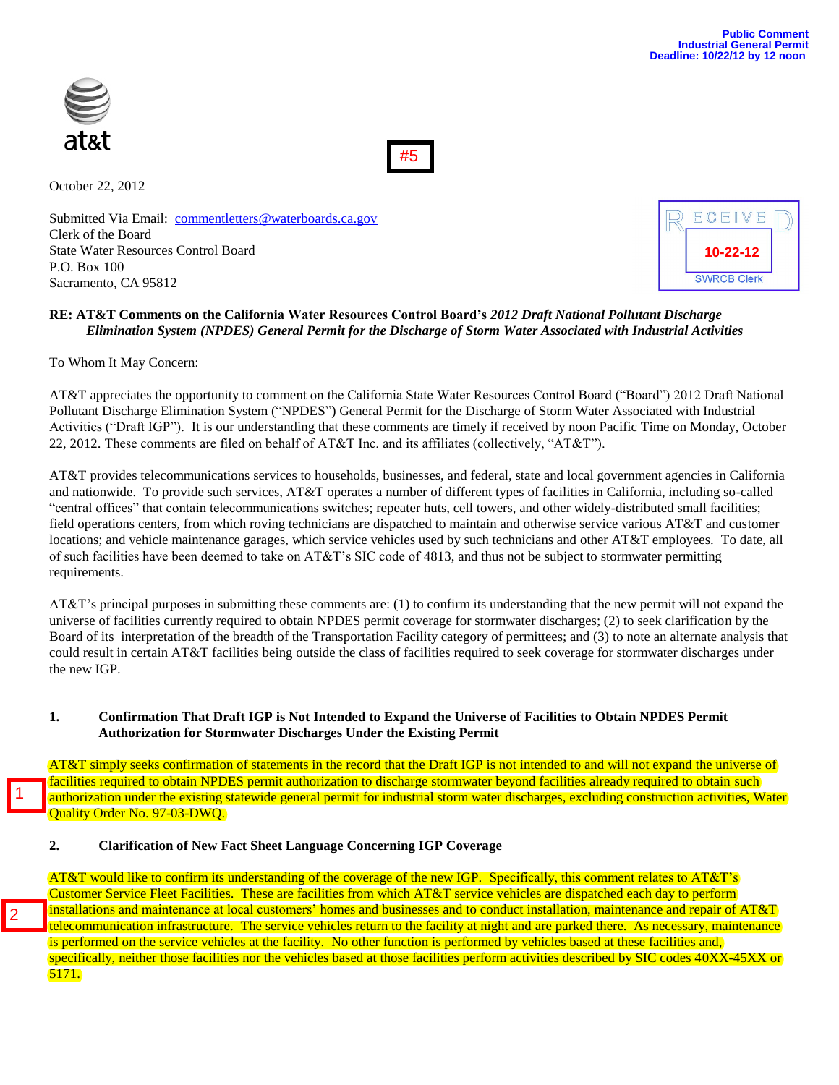



October 22, 2012

Submitted Via Email: [commentletters@waterboards.ca.gov](mailto:commentletters@waterboards.ca.gov) Clerk of the Board State Water Resources Control Board P.O. Box 100 Sacramento, CA 95812

| ECEIVE             |  |
|--------------------|--|
| 10-22-12           |  |
| <b>SWRCB Clerk</b> |  |

## **RE: AT&T Comments on the California Water Resources Control Board's** *2012 Draft National Pollutant Discharge Elimination System (NPDES) General Permit for the Discharge of Storm Water Associated with Industrial Activities*

To Whom It May Concern:

1

2

AT&T appreciates the opportunity to comment on the California State Water Resources Control Board ("Board") 2012 Draft National Pollutant Discharge Elimination System ("NPDES") General Permit for the Discharge of Storm Water Associated with Industrial Activities ("Draft IGP"). It is our understanding that these comments are timely if received by noon Pacific Time on Monday, October 22, 2012. These comments are filed on behalf of AT&T Inc. and its affiliates (collectively, "AT&T").

AT&T provides telecommunications services to households, businesses, and federal, state and local government agencies in California and nationwide. To provide such services, AT&T operates a number of different types of facilities in California, including so-called "central offices" that contain telecommunications switches; repeater huts, cell towers, and other widely-distributed small facilities; field operations centers, from which roving technicians are dispatched to maintain and otherwise service various AT&T and customer locations; and vehicle maintenance garages, which service vehicles used by such technicians and other AT&T employees. To date, all of such facilities have been deemed to take on AT&T's SIC code of 4813, and thus not be subject to stormwater permitting requirements.

AT&T's principal purposes in submitting these comments are: (1) to confirm its understanding that the new permit will not expand the universe of facilities currently required to obtain NPDES permit coverage for stormwater discharges; (2) to seek clarification by the Board of its interpretation of the breadth of the Transportation Facility category of permittees; and (3) to note an alternate analysis that could result in certain AT&T facilities being outside the class of facilities required to seek coverage for stormwater discharges under the new IGP.

#### **1. Confirmation That Draft IGP is Not Intended to Expand the Universe of Facilities to Obtain NPDES Permit Authorization for Stormwater Discharges Under the Existing Permit**

AT&T simply seeks confirmation of statements in the record that the Draft IGP is not intended to and will not expand the universe of facilities required to obtain NPDES permit authorization to discharge stormwater beyond facilities already required to obtain such authorization under the existing statewide general permit for industrial storm water discharges, excluding construction activities, Water Quality Order No. 97-03-DWQ.

#### **2. Clarification of New Fact Sheet Language Concerning IGP Coverage**

AT&T would like to confirm its understanding of the coverage of the new IGP. Specifically, this comment relates to AT&T's Customer Service Fleet Facilities. These are facilities from which AT&T service vehicles are dispatched each day to perform installations and maintenance at local customers' homes and businesses and to conduct installation, maintenance and repair of AT&T telecommunication infrastructure. The service vehicles return to the facility at night and are parked there. As necessary, maintenance is performed on the service vehicles at the facility. No other function is performed by vehicles based at these facilities and, specifically, neither those facilities nor the vehicles based at those facilities perform activities described by SIC codes 40XX-45XX or 5171.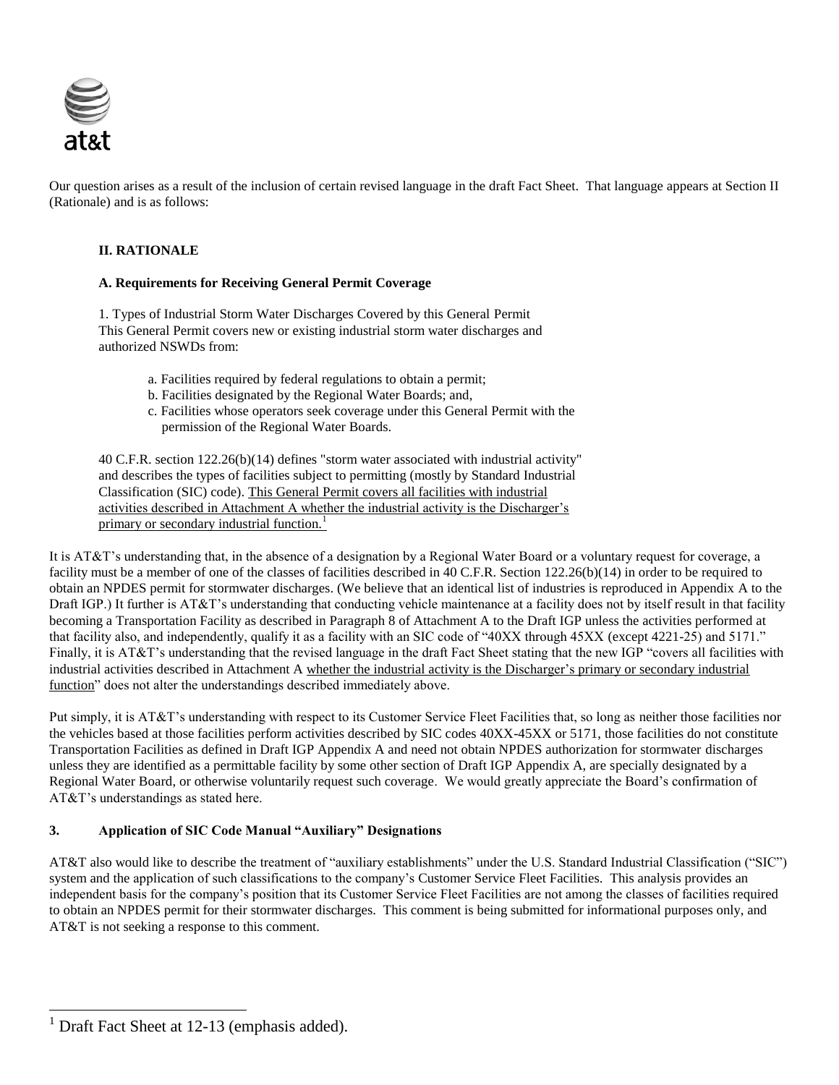

Our question arises as a result of the inclusion of certain revised language in the draft Fact Sheet. That language appears at Section II (Rationale) and is as follows:

## **II. RATIONALE**

## **A. Requirements for Receiving General Permit Coverage**

1. Types of Industrial Storm Water Discharges Covered by this General Permit This General Permit covers new or existing industrial storm water discharges and authorized NSWDs from:

- a. Facilities required by federal regulations to obtain a permit;
- b. Facilities designated by the Regional Water Boards; and,
- c. Facilities whose operators seek coverage under this General Permit with the permission of the Regional Water Boards.

40 C.F.R. section 122.26(b)(14) defines "storm water associated with industrial activity" and describes the types of facilities subject to permitting (mostly by Standard Industrial Classification (SIC) code). This General Permit covers all facilities with industrial activities described in Attachment A whether the industrial activity is the Discharger's primary or secondary industrial function.<sup>1</sup>

It is AT&T's understanding that, in the absence of a designation by a Regional Water Board or a voluntary request for coverage, a facility must be a member of one of the classes of facilities described in 40 C.F.R. Section 122.26(b)(14) in order to be required to obtain an NPDES permit for stormwater discharges. (We believe that an identical list of industries is reproduced in Appendix A to the Draft IGP.) It further is AT&T's understanding that conducting vehicle maintenance at a facility does not by itself result in that facility becoming a Transportation Facility as described in Paragraph 8 of Attachment A to the Draft IGP unless the activities performed at that facility also, and independently, qualify it as a facility with an SIC code of "40XX through 45XX (except 4221-25) and 5171." Finally, it is AT&T's understanding that the revised language in the draft Fact Sheet stating that the new IGP "covers all facilities with industrial activities described in Attachment A whether the industrial activity is the Discharger's primary or secondary industrial function" does not alter the understandings described immediately above.

Put simply, it is AT&T's understanding with respect to its Customer Service Fleet Facilities that, so long as neither those facilities nor the vehicles based at those facilities perform activities described by SIC codes 40XX-45XX or 5171, those facilities do not constitute Transportation Facilities as defined in Draft IGP Appendix A and need not obtain NPDES authorization for stormwater discharges unless they are identified as a permittable facility by some other section of Draft IGP Appendix A, are specially designated by a Regional Water Board, or otherwise voluntarily request such coverage. We would greatly appreciate the Board's confirmation of AT&T's understandings as stated here.

# **3. Application of SIC Code Manual "Auxiliary" Designations**

AT&T also would like to describe the treatment of "auxiliary establishments" under the U.S. Standard Industrial Classification ("SIC") system and the application of such classifications to the company's Customer Service Fleet Facilities. This analysis provides an independent basis for the company's position that its Customer Service Fleet Facilities are not among the classes of facilities required to obtain an NPDES permit for their stormwater discharges. This comment is being submitted for informational purposes only, and AT&T is not seeking a response to this comment.

 $\overline{a}$ 

<sup>&</sup>lt;sup>1</sup> Draft Fact Sheet at 12-13 (emphasis added).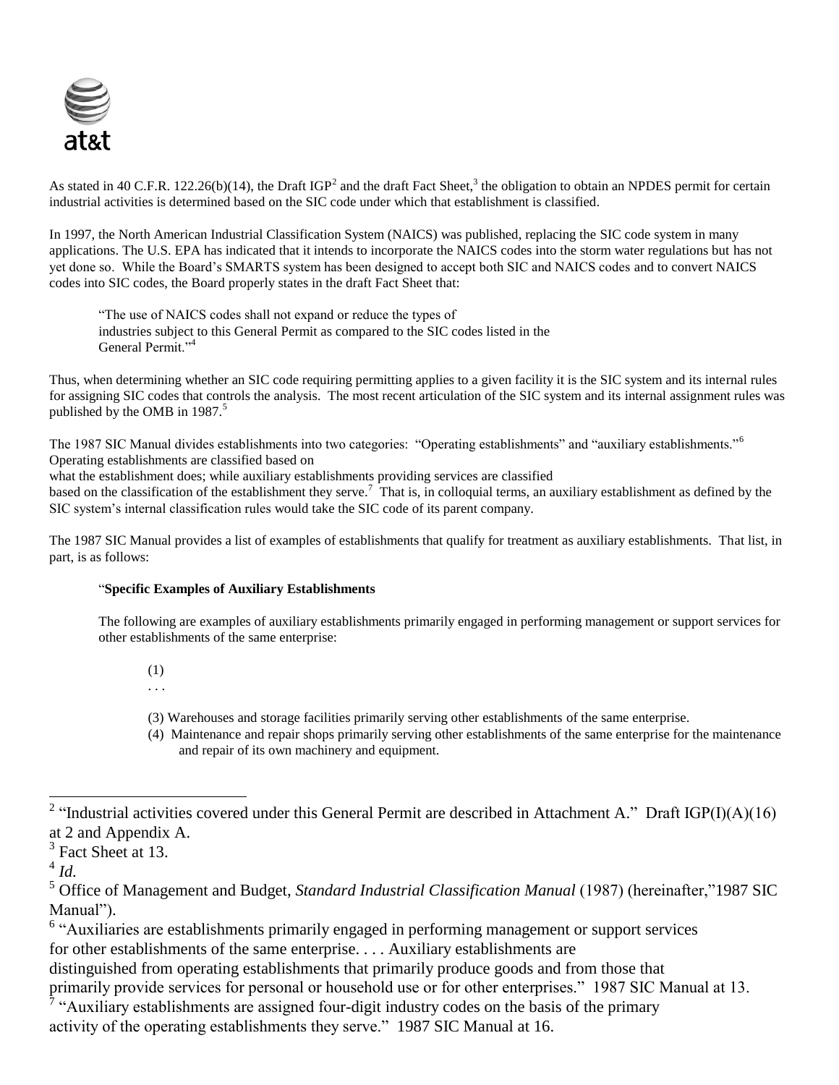

As stated in 40 C.F.R. 122.26(b)(14), the Draft IGP<sup>2</sup> and the draft Fact Sheet,<sup>3</sup> the obligation to obtain an NPDES permit for certain industrial activities is determined based on the SIC code under which that establishment is classified.

In 1997, the North American Industrial Classification System (NAICS) was published, replacing the SIC code system in many applications. The U.S. EPA has indicated that it intends to incorporate the NAICS codes into the storm water regulations but has not yet done so. While the Board's SMARTS system has been designed to accept both SIC and NAICS codes and to convert NAICS codes into SIC codes, the Board properly states in the draft Fact Sheet that:

"The use of NAICS codes shall not expand or reduce the types of industries subject to this General Permit as compared to the SIC codes listed in the General Permit."<sup>4</sup>

Thus, when determining whether an SIC code requiring permitting applies to a given facility it is the SIC system and its internal rules for assigning SIC codes that controls the analysis. The most recent articulation of the SIC system and its internal assignment rules was published by the OMB in  $1987<sup>5</sup>$ 

The 1987 SIC Manual divides establishments into two categories: "Operating establishments" and "auxiliary establishments."<sup>6</sup> Operating establishments are classified based on

what the establishment does; while auxiliary establishments providing services are classified

based on the classification of the establishment they serve.<sup>7</sup> That is, in colloquial terms, an auxiliary establishment as defined by the SIC system's internal classification rules would take the SIC code of its parent company.

The 1987 SIC Manual provides a list of examples of establishments that qualify for treatment as auxiliary establishments. That list, in part, is as follows:

# "**Specific Examples of Auxiliary Establishments**

The following are examples of auxiliary establishments primarily engaged in performing management or support services for other establishments of the same enterprise:

(1)

. . .

- (3) Warehouses and storage facilities primarily serving other establishments of the same enterprise.
- (4) Maintenance and repair shops primarily serving other establishments of the same enterprise for the maintenance and repair of its own machinery and equipment.

distinguished from operating establishments that primarily produce goods and from those that primarily provide services for personal or household use or for other enterprises." 1987 SIC Manual at 13.

 $\hat{7}$  "Auxiliary establishments are assigned four-digit industry codes on the basis of the primary activity of the operating establishments they serve." 1987 SIC Manual at 16.

<sup>&</sup>lt;sup>2</sup> "Industrial activities covered under this General Permit are described in Attachment A." Draft IGP(I)(A)(16) at 2 and Appendix A.

 $3$  Fact Sheet at 13.

<sup>4</sup> *Id.*

<sup>5</sup> Office of Management and Budget, *Standard Industrial Classification Manual* (1987) (hereinafter,"1987 SIC Manual").

<sup>&</sup>lt;sup>6</sup> "Auxiliaries are establishments primarily engaged in performing management or support services for other establishments of the same enterprise. . . . Auxiliary establishments are